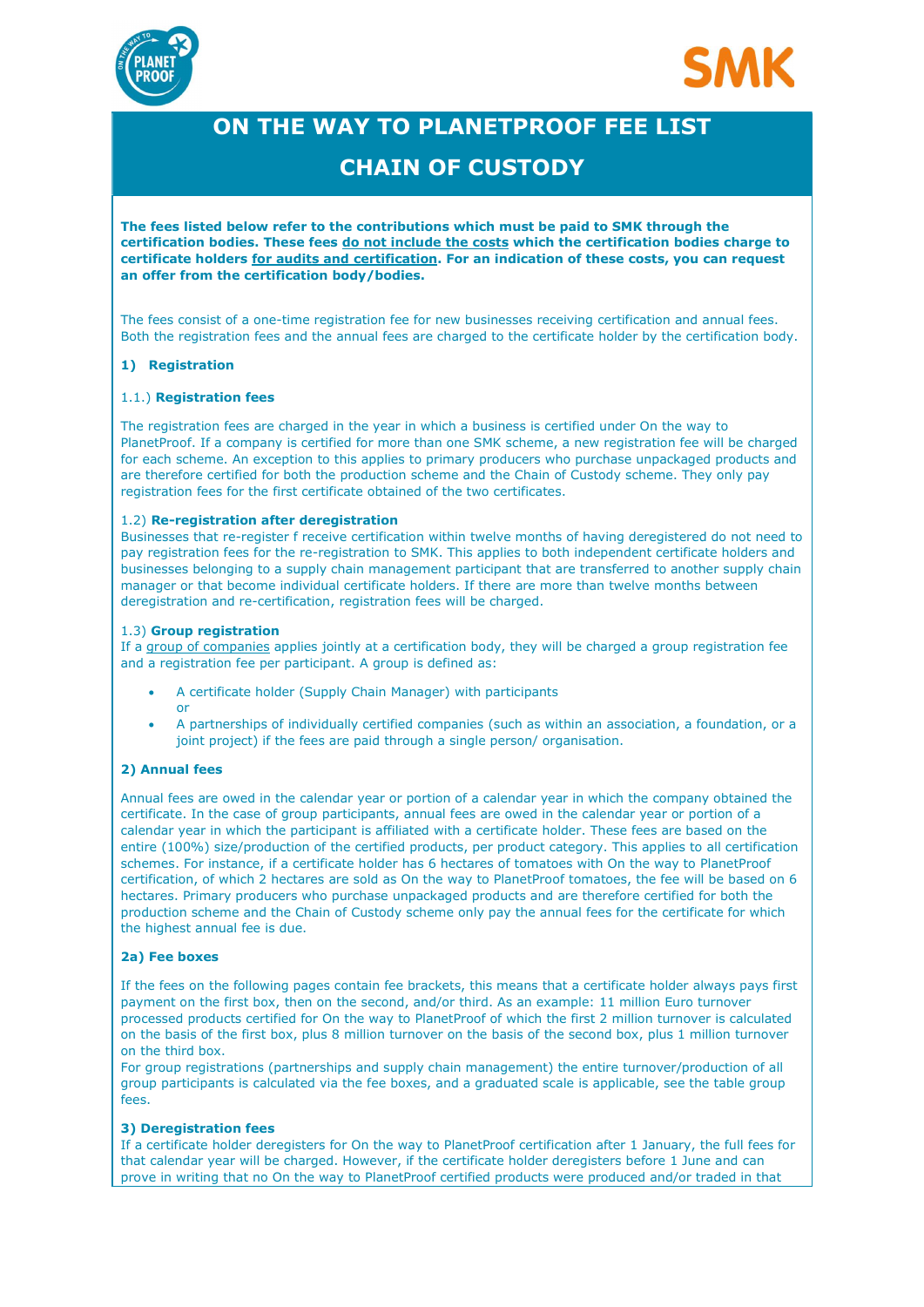



# ON THE WAY TO PLANETPROOF FEE LIST

### CHAIN OF CUSTODY

The fees listed below refer to the contributions which must be paid to SMK through the certification bodies. These fees do not include the costs which the certification bodies charge to certificate holders for audits and certification. For an indication of these costs, you can request an offer from the certification body/bodies.

The fees consist of a one-time registration fee for new businesses receiving certification and annual fees. Both the registration fees and the annual fees are charged to the certificate holder by the certification body.

#### 1) Registration

#### 1.1.) Registration fees

The registration fees are charged in the year in which a business is certified under On the way to PlanetProof. If a company is certified for more than one SMK scheme, a new registration fee will be charged for each scheme. An exception to this applies to primary producers who purchase unpackaged products and are therefore certified for both the production scheme and the Chain of Custody scheme. They only pay registration fees for the first certificate obtained of the two certificates.

#### 1.2) Re-registration after deregistration

Businesses that re-register f receive certification within twelve months of having deregistered do not need to pay registration fees for the re-registration to SMK. This applies to both independent certificate holders and businesses belonging to a supply chain management participant that are transferred to another supply chain manager or that become individual certificate holders. If there are more than twelve months between deregistration and re-certification, registration fees will be charged.

#### 1.3) Group registration

If a group of companies applies jointly at a certification body, they will be charged a group registration fee and a registration fee per participant. A group is defined as:

- A certificate holder (Supply Chain Manager) with participants or
- A partnerships of individually certified companies (such as within an association, a foundation, or a joint project) if the fees are paid through a single person/ organisation.

#### 2) Annual fees

Annual fees are owed in the calendar year or portion of a calendar year in which the company obtained the certificate. In the case of group participants, annual fees are owed in the calendar year or portion of a calendar year in which the participant is affiliated with a certificate holder. These fees are based on the entire (100%) size/production of the certified products, per product category. This applies to all certification schemes. For instance, if a certificate holder has 6 hectares of tomatoes with On the way to PlanetProof certification, of which 2 hectares are sold as On the way to PlanetProof tomatoes, the fee will be based on 6 hectares. Primary producers who purchase unpackaged products and are therefore certified for both the production scheme and the Chain of Custody scheme only pay the annual fees for the certificate for which the highest annual fee is due.

#### 2a) Fee boxes

If the fees on the following pages contain fee brackets, this means that a certificate holder always pays first payment on the first box, then on the second, and/or third. As an example: 11 million Euro turnover processed products certified for On the way to PlanetProof of which the first 2 million turnover is calculated on the basis of the first box, plus 8 million turnover on the basis of the second box, plus 1 million turnover on the third box.

For group registrations (partnerships and supply chain management) the entire turnover/production of all group participants is calculated via the fee boxes, and a graduated scale is applicable, see the table group fees.

#### 3) Deregistration fees

If a certificate holder deregisters for On the way to PlanetProof certification after 1 January, the full fees for that calendar year will be charged. However, if the certificate holder deregisters before 1 June and can prove in writing that no On the way to PlanetProof certified products were produced and/or traded in that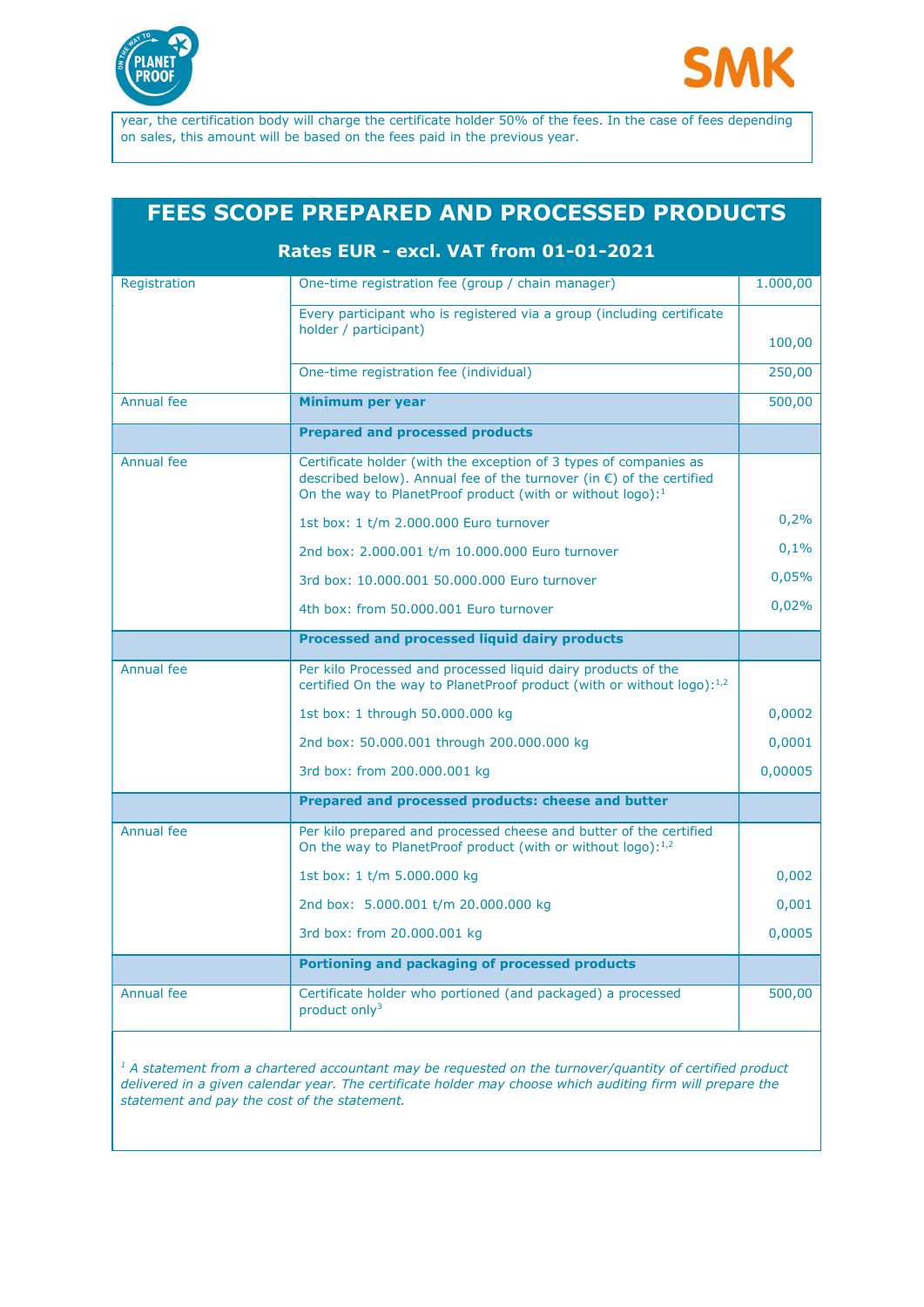



year, the certification body will charge the certificate holder 50% of the fees. In the case of fees depending on sales, this amount will be based on the fees paid in the previous year.

## FEES SCOPE PREPARED AND PROCESSED PRODUCTS

### Rates EUR - excl. VAT from 01-01-2021

| Registration      | One-time registration fee (group / chain manager)                                                                                                                                                           | 1.000,00 |
|-------------------|-------------------------------------------------------------------------------------------------------------------------------------------------------------------------------------------------------------|----------|
|                   | Every participant who is registered via a group (including certificate<br>holder / participant)                                                                                                             |          |
|                   |                                                                                                                                                                                                             | 100,00   |
|                   | One-time registration fee (individual)                                                                                                                                                                      | 250,00   |
| <b>Annual fee</b> | Minimum per year                                                                                                                                                                                            | 500,00   |
|                   | <b>Prepared and processed products</b>                                                                                                                                                                      |          |
| <b>Annual fee</b> | Certificate holder (with the exception of 3 types of companies as<br>described below). Annual fee of the turnover (in €) of the certified<br>On the way to Planet Proof product (with or without $log_0$ ): |          |
|                   | 1st box: 1 t/m 2.000.000 Euro turnover                                                                                                                                                                      | 0,2%     |
|                   | 2nd box: 2.000.001 t/m 10.000.000 Euro turnover                                                                                                                                                             | 0,1%     |
|                   | 3rd box: 10,000,001 50,000,000 Euro turnover                                                                                                                                                                | 0,05%    |
|                   | 4th box: from 50.000.001 Euro turnover                                                                                                                                                                      | 0,02%    |
|                   | Processed and processed liquid dairy products                                                                                                                                                               |          |
| <b>Annual fee</b> | Per kilo Processed and processed liquid dairy products of the<br>certified On the way to PlanetProof product (with or without logo): <sup>1,2</sup>                                                         |          |
|                   | 1st box: 1 through 50,000,000 kg                                                                                                                                                                            | 0,0002   |
|                   | 2nd box: 50.000.001 through 200.000.000 kg                                                                                                                                                                  | 0,0001   |
|                   | 3rd box: from 200.000.001 kg                                                                                                                                                                                | 0,00005  |
|                   | Prepared and processed products: cheese and butter                                                                                                                                                          |          |
| Annual fee        | Per kilo prepared and processed cheese and butter of the certified<br>On the way to PlanetProof product (with or without logo): <sup>1,2</sup>                                                              |          |
|                   | 1st box: 1 t/m 5.000.000 kg                                                                                                                                                                                 | 0,002    |
|                   | 2nd box: 5.000.001 t/m 20.000.000 kg                                                                                                                                                                        | 0,001    |
|                   | 3rd box: from 20.000.001 kg                                                                                                                                                                                 | 0,0005   |
|                   | Portioning and packaging of processed products                                                                                                                                                              |          |
| Annual fee        | Certificate holder who portioned (and packaged) a processed<br>product only <sup>3</sup>                                                                                                                    | 500,00   |

 $1$  A statement from a chartered accountant may be requested on the turnover/quantity of certified product delivered in a given calendar year. The certificate holder may choose which auditing firm will prepare the statement and pay the cost of the statement.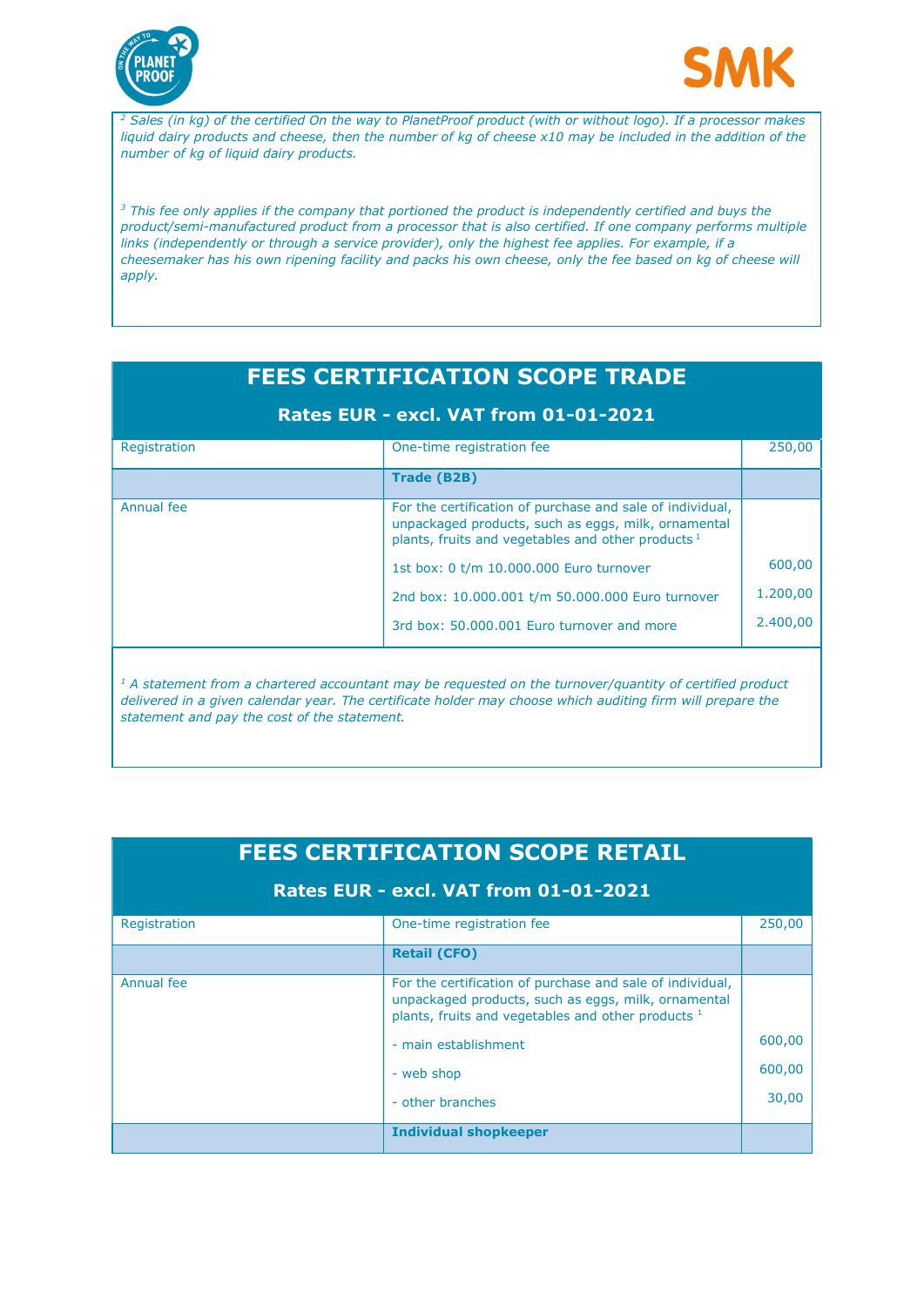



<sup>2</sup> Sales (in kg) of the certified On the way to PlanetProof product (with or without logo). If a processor makes liquid dairy products and cheese, then the number of kg of cheese x10 may be included in the addition of the number of kg of liquid dairy products.

 $3$  This fee only applies if the company that portioned the product is independently certified and buys the product/semi-manufactured product from a processor that is also certified. If one company performs multiple links (independently or through a service provider), only the highest fee applies. For example, if a cheesemaker has his own ripening facility and packs his own cheese, only the fee based on kg of cheese will apply.

| <b>FEES CERTIFICATION SCOPE TRADE</b> |                                                                                                                                                                          |          |  |  |  |
|---------------------------------------|--------------------------------------------------------------------------------------------------------------------------------------------------------------------------|----------|--|--|--|
| Rates EUR - excl. VAT from 01-01-2021 |                                                                                                                                                                          |          |  |  |  |
| Registration                          | One-time registration fee                                                                                                                                                | 250,00   |  |  |  |
|                                       | <b>Trade (B2B)</b>                                                                                                                                                       |          |  |  |  |
| Annual fee                            | For the certification of purchase and sale of individual,<br>unpackaged products, such as eggs, milk, ornamental<br>plants, fruits and vegetables and other products $1$ |          |  |  |  |
|                                       | 1st box: 0 t/m 10.000.000 Euro turnover                                                                                                                                  | 600,00   |  |  |  |
|                                       | 2nd box: 10.000.001 t/m 50.000.000 Euro turnover                                                                                                                         | 1.200,00 |  |  |  |
|                                       | 3rd box: 50.000.001 Euro turnover and more                                                                                                                               | 2.400,00 |  |  |  |
|                                       |                                                                                                                                                                          |          |  |  |  |

 $<sup>1</sup>$  A statement from a chartered accountant may be requested on the turnover/quantity of certified product</sup> delivered in a given calendar year. The certificate holder may choose which auditing firm will prepare the statement and pay the cost of the statement.

| <b>FEES CERTIFICATION SCOPE RETAIL</b><br><b>Rates EUR - excl. VAT from 01-01-2021</b> |                                                                                                                                                                        |        |  |  |
|----------------------------------------------------------------------------------------|------------------------------------------------------------------------------------------------------------------------------------------------------------------------|--------|--|--|
|                                                                                        |                                                                                                                                                                        |        |  |  |
|                                                                                        | <b>Retail (CFO)</b>                                                                                                                                                    |        |  |  |
| Annual fee                                                                             | For the certification of purchase and sale of individual,<br>unpackaged products, such as eggs, milk, ornamental<br>plants, fruits and vegetables and other products 1 |        |  |  |
|                                                                                        | - main establishment                                                                                                                                                   | 600,00 |  |  |
|                                                                                        | - web shop                                                                                                                                                             | 600,00 |  |  |
|                                                                                        | - other branches                                                                                                                                                       | 30,00  |  |  |
|                                                                                        | <b>Individual shopkeeper</b>                                                                                                                                           |        |  |  |